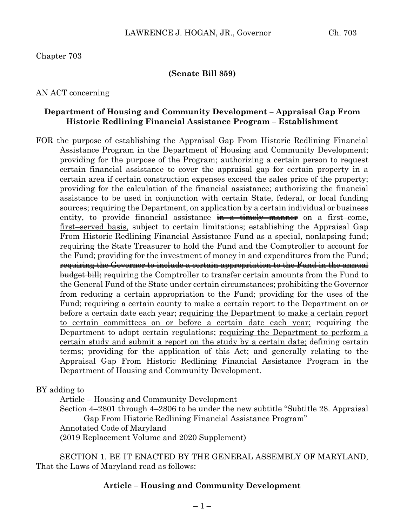Chapter 703

#### **(Senate Bill 859)**

AN ACT concerning

### **Department of Housing and Community Development – Appraisal Gap From Historic Redlining Financial Assistance Program – Establishment**

FOR the purpose of establishing the Appraisal Gap From Historic Redlining Financial Assistance Program in the Department of Housing and Community Development; providing for the purpose of the Program; authorizing a certain person to request certain financial assistance to cover the appraisal gap for certain property in a certain area if certain construction expenses exceed the sales price of the property; providing for the calculation of the financial assistance; authorizing the financial assistance to be used in conjunction with certain State, federal, or local funding sources; requiring the Department, on application by a certain individual or business entity, to provide financial assistance  $\frac{1}{n}$  a timely manner on a first–come, first–served basis, subject to certain limitations; establishing the Appraisal Gap From Historic Redlining Financial Assistance Fund as a special, nonlapsing fund; requiring the State Treasurer to hold the Fund and the Comptroller to account for the Fund; providing for the investment of money in and expenditures from the Fund; requiring the Governor to include a certain appropriation to the Fund in the annual budget bill; requiring the Comptroller to transfer certain amounts from the Fund to the General Fund of the State under certain circumstances; prohibiting the Governor from reducing a certain appropriation to the Fund; providing for the uses of the Fund; requiring a certain county to make a certain report to the Department on or before a certain date each year; requiring the Department to make a certain report to certain committees on or before a certain date each year; requiring the Department to adopt certain regulations; requiring the Department to perform a certain study and submit a report on the study by a certain date; defining certain terms; providing for the application of this Act; and generally relating to the Appraisal Gap From Historic Redlining Financial Assistance Program in the Department of Housing and Community Development.

BY adding to

Article – Housing and Community Development Section 4–2801 through 4–2806 to be under the new subtitle "Subtitle 28. Appraisal Gap From Historic Redlining Financial Assistance Program" Annotated Code of Maryland (2019 Replacement Volume and 2020 Supplement)

SECTION 1. BE IT ENACTED BY THE GENERAL ASSEMBLY OF MARYLAND, That the Laws of Maryland read as follows:

### **Article – Housing and Community Development**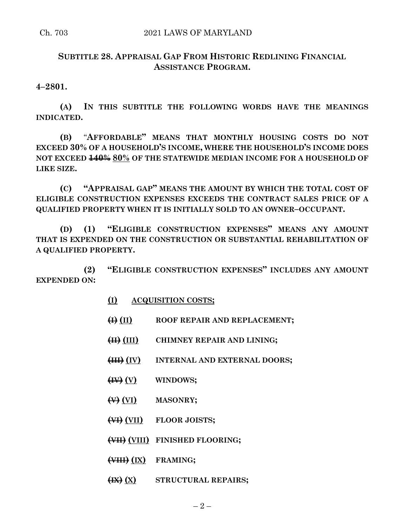## **SUBTITLE 28. APPRAISAL GAP FROM HISTORIC REDLINING FINANCIAL ASSISTANCE PROGRAM.**

**4–2801.**

**(A) IN THIS SUBTITLE THE FOLLOWING WORDS HAVE THE MEANINGS INDICATED.**

**(B)** "**AFFORDABLE" MEANS THAT MONTHLY HOUSING COSTS DO NOT EXCEED 30% OF A HOUSEHOLD'S INCOME, WHERE THE HOUSEHOLD'S INCOME DOES NOT EXCEED 140% 80% OF THE STATEWIDE MEDIAN INCOME FOR A HOUSEHOLD OF LIKE SIZE.**

**(C) "APPRAISAL GAP" MEANS THE AMOUNT BY WHICH THE TOTAL COST OF ELIGIBLE CONSTRUCTION EXPENSES EXCEEDS THE CONTRACT SALES PRICE OF A QUALIFIED PROPERTY WHEN IT IS INITIALLY SOLD TO AN OWNER–OCCUPANT.**

**(D) (1) "ELIGIBLE CONSTRUCTION EXPENSES" MEANS ANY AMOUNT THAT IS EXPENDED ON THE CONSTRUCTION OR SUBSTANTIAL REHABILITATION OF A QUALIFIED PROPERTY.**

**(2) "ELIGIBLE CONSTRUCTION EXPENSES" INCLUDES ANY AMOUNT EXPENDED ON:**

- **(I) ACQUISITION COSTS;**
- **(I) (II) ROOF REPAIR AND REPLACEMENT;**
- **(II) (III) CHIMNEY REPAIR AND LINING;**
- **(III) (IV) INTERNAL AND EXTERNAL DOORS;**
- **(IV) (V) WINDOWS;**
- **(V) (VI) MASONRY;**
- **(VI) (VII) FLOOR JOISTS;**
- **(VII) (VIII) FINISHED FLOORING;**
- **(VIII) (IX) FRAMING;**
- **(IX) (X) STRUCTURAL REPAIRS;**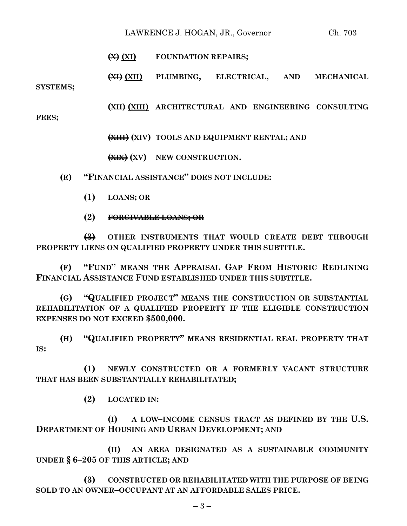## LAWRENCE J. HOGAN, JR., Governor Ch. 703

### **(X) (XI) FOUNDATION REPAIRS;**

**(XI) (XII) PLUMBING, ELECTRICAL, AND MECHANICAL SYSTEMS;**

**(XII) (XIII) ARCHITECTURAL AND ENGINEERING CONSULTING**

**FEES;**

**(XIII) (XIV) TOOLS AND EQUIPMENT RENTAL; AND**

**(XIX) (XV) NEW CONSTRUCTION.**

**(E) "FINANCIAL ASSISTANCE" DOES NOT INCLUDE:**

- **(1) LOANS; OR**
- **(2) FORGIVABLE LOANS; OR**

**(3) OTHER INSTRUMENTS THAT WOULD CREATE DEBT THROUGH PROPERTY LIENS ON QUALIFIED PROPERTY UNDER THIS SUBTITLE.**

**(F) "FUND" MEANS THE APPRAISAL GAP FROM HISTORIC REDLINING FINANCIAL ASSISTANCE FUND ESTABLISHED UNDER THIS SUBTITLE.**

**(G) "QUALIFIED PROJECT" MEANS THE CONSTRUCTION OR SUBSTANTIAL REHABILITATION OF A QUALIFIED PROPERTY IF THE ELIGIBLE CONSTRUCTION EXPENSES DO NOT EXCEED \$500,000.**

**(H) "QUALIFIED PROPERTY" MEANS RESIDENTIAL REAL PROPERTY THAT IS:**

**(1) NEWLY CONSTRUCTED OR A FORMERLY VACANT STRUCTURE THAT HAS BEEN SUBSTANTIALLY REHABILITATED;**

**(2) LOCATED IN:**

**(I) A LOW–INCOME CENSUS TRACT AS DEFINED BY THE U.S. DEPARTMENT OF HOUSING AND URBAN DEVELOPMENT; AND**

**(II) AN AREA DESIGNATED AS A SUSTAINABLE COMMUNITY UNDER § 6–205 OF THIS ARTICLE; AND**

**(3) CONSTRUCTED OR REHABILITATED WITH THE PURPOSE OF BEING SOLD TO AN OWNER–OCCUPANT AT AN AFFORDABLE SALES PRICE.**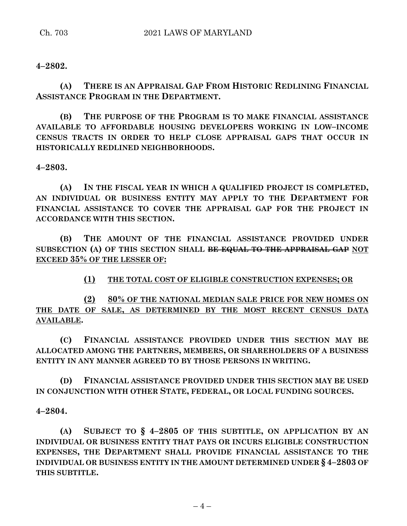## **4–2802.**

**(A) THERE IS AN APPRAISAL GAP FROM HISTORIC REDLINING FINANCIAL ASSISTANCE PROGRAM IN THE DEPARTMENT.**

**(B) THE PURPOSE OF THE PROGRAM IS TO MAKE FINANCIAL ASSISTANCE AVAILABLE TO AFFORDABLE HOUSING DEVELOPERS WORKING IN LOW–INCOME CENSUS TRACTS IN ORDER TO HELP CLOSE APPRAISAL GAPS THAT OCCUR IN HISTORICALLY REDLINED NEIGHBORHOODS.**

**4–2803.**

**(A) IN THE FISCAL YEAR IN WHICH A QUALIFIED PROJECT IS COMPLETED, AN INDIVIDUAL OR BUSINESS ENTITY MAY APPLY TO THE DEPARTMENT FOR FINANCIAL ASSISTANCE TO COVER THE APPRAISAL GAP FOR THE PROJECT IN ACCORDANCE WITH THIS SECTION.**

**(B) THE AMOUNT OF THE FINANCIAL ASSISTANCE PROVIDED UNDER SUBSECTION (A) OF THIS SECTION SHALL BE EQUAL TO THE APPRAISAL GAP NOT EXCEED 35% OF THE LESSER OF:**

**(1) THE TOTAL COST OF ELIGIBLE CONSTRUCTION EXPENSES; OR**

**(2) 80% OF THE NATIONAL MEDIAN SALE PRICE FOR NEW HOMES ON THE DATE OF SALE, AS DETERMINED BY THE MOST RECENT CENSUS DATA AVAILABLE.**

**(C) FINANCIAL ASSISTANCE PROVIDED UNDER THIS SECTION MAY BE ALLOCATED AMONG THE PARTNERS, MEMBERS, OR SHAREHOLDERS OF A BUSINESS ENTITY IN ANY MANNER AGREED TO BY THOSE PERSONS IN WRITING.**

**(D) FINANCIAL ASSISTANCE PROVIDED UNDER THIS SECTION MAY BE USED IN CONJUNCTION WITH OTHER STATE, FEDERAL, OR LOCAL FUNDING SOURCES.**

**4–2804.**

**(A) SUBJECT TO § 4–2805 OF THIS SUBTITLE, ON APPLICATION BY AN INDIVIDUAL OR BUSINESS ENTITY THAT PAYS OR INCURS ELIGIBLE CONSTRUCTION EXPENSES, THE DEPARTMENT SHALL PROVIDE FINANCIAL ASSISTANCE TO THE INDIVIDUAL OR BUSINESS ENTITY IN THE AMOUNT DETERMINED UNDER § 4–2803 OF THIS SUBTITLE.**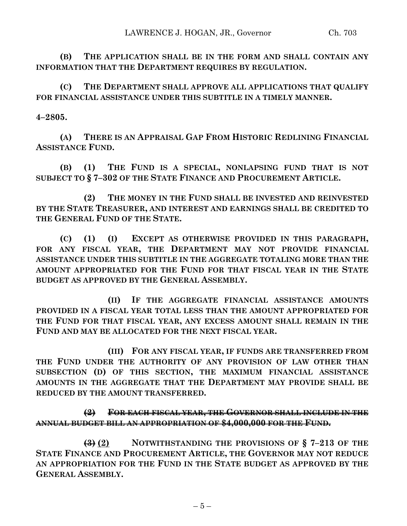**(B) THE APPLICATION SHALL BE IN THE FORM AND SHALL CONTAIN ANY INFORMATION THAT THE DEPARTMENT REQUIRES BY REGULATION.**

**(C) THE DEPARTMENT SHALL APPROVE ALL APPLICATIONS THAT QUALIFY FOR FINANCIAL ASSISTANCE UNDER THIS SUBTITLE IN A TIMELY MANNER.**

## **4–2805.**

**(A) THERE IS AN APPRAISAL GAP FROM HISTORIC REDLINING FINANCIAL ASSISTANCE FUND.**

**(B) (1) THE FUND IS A SPECIAL, NONLAPSING FUND THAT IS NOT SUBJECT TO § 7–302 OF THE STATE FINANCE AND PROCUREMENT ARTICLE.**

**(2) THE MONEY IN THE FUND SHALL BE INVESTED AND REINVESTED BY THE STATE TREASURER, AND INTEREST AND EARNINGS SHALL BE CREDITED TO THE GENERAL FUND OF THE STATE.**

**(C) (1) (I) EXCEPT AS OTHERWISE PROVIDED IN THIS PARAGRAPH, FOR ANY FISCAL YEAR, THE DEPARTMENT MAY NOT PROVIDE FINANCIAL ASSISTANCE UNDER THIS SUBTITLE IN THE AGGREGATE TOTALING MORE THAN THE AMOUNT APPROPRIATED FOR THE FUND FOR THAT FISCAL YEAR IN THE STATE BUDGET AS APPROVED BY THE GENERAL ASSEMBLY.**

**(II) IF THE AGGREGATE FINANCIAL ASSISTANCE AMOUNTS PROVIDED IN A FISCAL YEAR TOTAL LESS THAN THE AMOUNT APPROPRIATED FOR THE FUND FOR THAT FISCAL YEAR, ANY EXCESS AMOUNT SHALL REMAIN IN THE FUND AND MAY BE ALLOCATED FOR THE NEXT FISCAL YEAR.**

**(III) FOR ANY FISCAL YEAR, IF FUNDS ARE TRANSFERRED FROM THE FUND UNDER THE AUTHORITY OF ANY PROVISION OF LAW OTHER THAN SUBSECTION (D) OF THIS SECTION, THE MAXIMUM FINANCIAL ASSISTANCE AMOUNTS IN THE AGGREGATE THAT THE DEPARTMENT MAY PROVIDE SHALL BE REDUCED BY THE AMOUNT TRANSFERRED.**

# **(2) FOR EACH FISCAL YEAR, THE GOVERNOR SHALL INCLUDE IN THE ANNUAL BUDGET BILL AN APPROPRIATION OF \$4,000,000 FOR THE FUND.**

**(3) (2) NOTWITHSTANDING THE PROVISIONS OF § 7–213 OF THE STATE FINANCE AND PROCUREMENT ARTICLE, THE GOVERNOR MAY NOT REDUCE AN APPROPRIATION FOR THE FUND IN THE STATE BUDGET AS APPROVED BY THE GENERAL ASSEMBLY.**